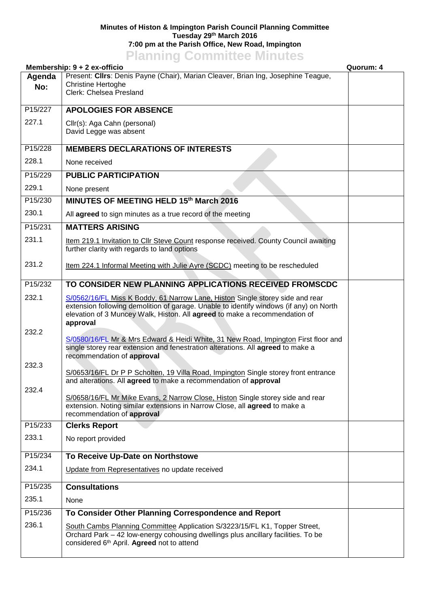## **Minutes of Histon & Impington Parish Council Planning Committee Tuesday 29th March 2016 7:00 pm at the Parish Office, New Road, Impington Planning Committee Minutes**

|               | <u>Lighting commutee mindres</u><br>Membership: 9 + 2 ex-officio                                                                                                                                                                                                  | Quorum: 4 |
|---------------|-------------------------------------------------------------------------------------------------------------------------------------------------------------------------------------------------------------------------------------------------------------------|-----------|
| Agenda<br>No: | Present: Clirs: Denis Payne (Chair), Marian Cleaver, Brian Ing, Josephine Teague,<br><b>Christine Hertoghe</b><br>Clerk: Chelsea Presland                                                                                                                         |           |
| P15/227       | <b>APOLOGIES FOR ABSENCE</b>                                                                                                                                                                                                                                      |           |
| 227.1         | Cllr(s): Aga Cahn (personal)<br>David Legge was absent                                                                                                                                                                                                            |           |
| P15/228       | <b>MEMBERS DECLARATIONS OF INTERESTS</b>                                                                                                                                                                                                                          |           |
| 228.1         | None received                                                                                                                                                                                                                                                     |           |
| P15/229       | <b>PUBLIC PARTICIPATION</b>                                                                                                                                                                                                                                       |           |
| 229.1         | None present                                                                                                                                                                                                                                                      |           |
| P15/230       | MINUTES OF MEETING HELD 15th March 2016                                                                                                                                                                                                                           |           |
| 230.1         | All agreed to sign minutes as a true record of the meeting                                                                                                                                                                                                        |           |
| P15/231       | <b>MATTERS ARISING</b>                                                                                                                                                                                                                                            |           |
| 231.1         | Item 219.1 Invitation to Cllr Steve Count response received. County Council awaiting<br>further clarity with regards to land options                                                                                                                              |           |
| 231.2         | Item 224.1 Informal Meeting with Julie Ayre (SCDC) meeting to be rescheduled                                                                                                                                                                                      |           |
| P15/232       | TO CONSIDER NEW PLANNING APPLICATIONS RECEIVED FROMSCDC                                                                                                                                                                                                           |           |
| 232.1         | S/0562/16/FL Miss K Boddy, 61 Narrow Lane, Histon Single storey side and rear<br>extension following demolition of garage. Unable to identify windows (if any) on North<br>elevation of 3 Muncey Walk, Histon. All agreed to make a recommendation of<br>approval |           |
| 232.2         | S/0580/16/FL Mr & Mrs Edward & Heidi White, 31 New Road, Impington First floor and<br>single storey rear extension and fenestration alterations. All agreed to make a<br>recommendation of approval                                                               |           |
| 232.3         | S/0653/16/FL Dr P P Scholten, 19 Villa Road, Impington Single storey front entrance<br>and alterations. All agreed to make a recommendation of approval                                                                                                           |           |
| 232.4         | S/0658/16/FL Mr Mike Evans, 2 Narrow Close, Histon Single storey side and rear<br>extension. Noting similar extensions in Narrow Close, all agreed to make a<br>recommendation of approval                                                                        |           |
| P15/233       | <b>Clerks Report</b>                                                                                                                                                                                                                                              |           |
| 233.1         | No report provided                                                                                                                                                                                                                                                |           |
| P15/234       | To Receive Up-Date on Northstowe                                                                                                                                                                                                                                  |           |
| 234.1         | Update from Representatives no update received                                                                                                                                                                                                                    |           |
| P15/235       | <b>Consultations</b>                                                                                                                                                                                                                                              |           |
| 235.1         | None                                                                                                                                                                                                                                                              |           |
| P15/236       | To Consider Other Planning Correspondence and Report                                                                                                                                                                                                              |           |
| 236.1         | South Cambs Planning Committee Application S/3223/15/FL K1, Topper Street,<br>Orchard Park - 42 low-energy cohousing dwellings plus ancillary facilities. To be<br>considered 6 <sup>th</sup> April. Agreed not to attend                                         |           |